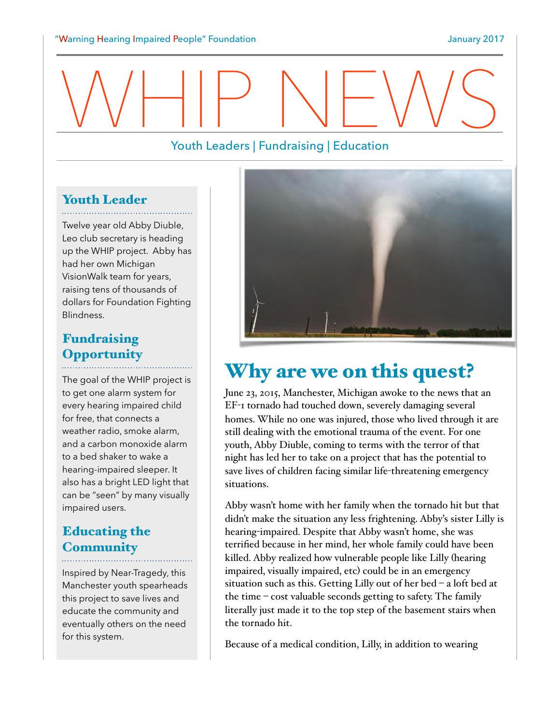# WHIP NEWS

## Youth Leaders | Fundraising | Education

# **Youth Leader**

Twelve year old Abby Diuble, Leo club secretary is heading up the WHIP project. Abby has had her own Michigan VisionWalk team for years, raising tens of thousands of dollars for Foundation Fighting Blindness.

## Fundraising **Opportunity**

The goal of the WHIP project is to get one alarm system for every hearing impaired child for free, that connects a weather radio, smoke alarm, and a carbon monoxide alarm to a bed shaker to wake a hearing-impaired sleeper. It also has a bright LED light that can be "seen" by many visually impaired users.

# Educating the **Community**

Inspired by Near-Tragedy, this Manchester youth spearheads this project to save lives and educate the community and eventually others on the need for this system.



# Why are we on this quest?

June 23, 2015, Manchester, Michigan awoke to the news that an EF-I tornado had touched down, severely damaging several homes. While no one was injured, those who lived through it are still dealing with the emotional trauma of the event. For one youth, Abby Diuble, coming to terms with the terror of that night has led her to take on a project that has the potential to save lives of children facing similar life-threatening emergency situations.

Abby wasn't home with her family when the tornado hit but that didn't make the situation any less frightening. Abby's sister Lilly is hearing-impaired. Despite that Abby wasn't home, she was terrified because in her mind, her whole family could have been killed. Abby realized how vulnerable people like Lilly (hearing impaired, visually impaired, etc) could be in an emergency situation such as this. Getting Lilly out of her bed  $-$  a loft bed at the time  $-$  cost valuable seconds getting to safety. The family literally just made it to the top step of the basement stairs when the tornado hit.

Because of a medical condition, Lilly, in addition to wearing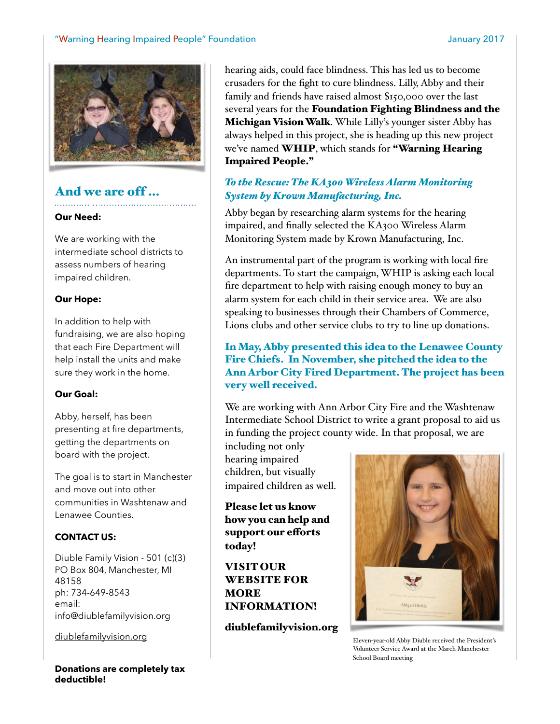

## And we are off …

#### **Our Need:**

We are working with the intermediate school districts to assess numbers of hearing impaired children.

#### **Our Hope:**

In addition to help with fundraising, we are also hoping that each Fire Department will help install the units and make sure they work in the home.

#### **Our Goal:**

Abby, herself, has been presenting at fire departments, getting the departments on board with the project.

The goal is to start in Manchester and move out into other communities in Washtenaw and Lenawee Counties.

#### **CONTACT US:**

Diuble Family Vision - 501 (c)(3) PO Box 804, Manchester, MI 48158 ph: 734-649-8543 email: [info@diublefamilyvision.org](mailto:info@diublefamilyvision.org)

[diublefamilyvision.org](http://diublefamilyvision.org)

**Donations are completely tax deductible!**

hearing aids, could face blindness. This has led us to become crusaders for the fight to cure blindness. Lilly, Abby and their family and friends have raised almost %150,000 over the last several years for the Foundation Fighting Blindness and the Michigan Vision Walk. While Lilly's younger sister Abby has always helped in this project, she is heading up this new project we've named WHIP, which stands for "Warning Hearing Impaired People."

### *To the Rescue: The KA300 Wireless Alarm Monitoring System by Krown Manufacturing, Inc.*

Abby began by researching alarm systems for the hearing impaired, and finally selected the KA300 Wireless Alarm Monitoring System made by Krown Manufacturing, Inc.

An instrumental part of the program is working with local fire departments. To start the campaign, WHIP is asking each local fire department to help with raising enough money to buy an alarm system for each child in their service area. We are also speaking to businesses through their Chambers of Commerce, Lions clubs and other service clubs to try to line up donations.

#### In May, Abby presented this idea to the Lenawee County Fire Chiefs. In November, she pitched the idea to the Ann Arbor City Fired Department. The project has been very well received.

We are working with Ann Arbor City Fire and the Washtenaw Intermediate School District to write a grant proposal to aid us in funding the project county wide. In that proposal, we are

including not only hearing impaired children, but visually impaired children as well.

Please let us know how you can help and support our efforts today!

VISIT OUR WEBSITE FOR MORE INFORMATION!

diublefamilyvision.org



Eleven-year-old Abby Diuble received the President's Volunteer Service Award at the March Manchester School Board meeting